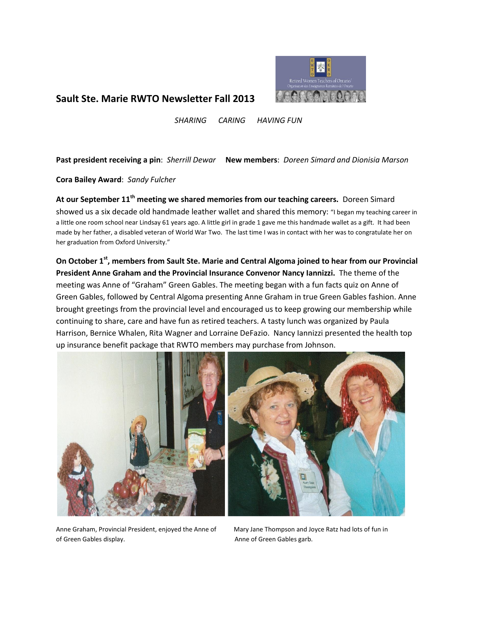

## **Sault Ste. Marie RWTO Newsletter Fall 2013**

*SHARING CARING HAVING FUN*

**Past president receiving a pin**: *Sherrill Dewar* **New members**: *Doreen Simard and Dionisia Marson*

**Cora Bailey Award**: *Sandy Fulcher*

**At our September 11th meeting we shared memories from our teaching careers.** Doreen Simard showed us a six decade old handmade leather wallet and shared this memory: "I began my teaching career in a little one room school near Lindsay 61 years ago. A little girl in grade 1 gave me this handmade wallet as a gift. It had been made by her father, a disabled veteran of World War Two. The last time I was in contact with her was to congratulate her on her graduation from Oxford University."

On October 1<sup>st</sup>, members from Sault Ste. Marie and Central Algoma joined to hear from our Provincial **President Anne Graham and the Provincial Insurance Convenor Nancy Iannizzi.** The theme of the meeting was Anne of "Graham" Green Gables. The meeting began with a fun facts quiz on Anne of Green Gables, followed by Central Algoma presenting Anne Graham in true Green Gables fashion. Anne brought greetings from the provincial level and encouraged us to keep growing our membership while continuing to share, care and have fun as retired teachers. A tasty lunch was organized by Paula Harrison, Bernice Whalen, Rita Wagner and Lorraine DeFazio. Nancy Iannizzi presented the health top up insurance benefit package that RWTO members may purchase from Johnson.



Anne Graham, Provincial President, enjoyed the Anne of Mary Jane Thompson and Joyce Ratz had lots of fun in of Green Gables display. Anne of Green Gables garb.